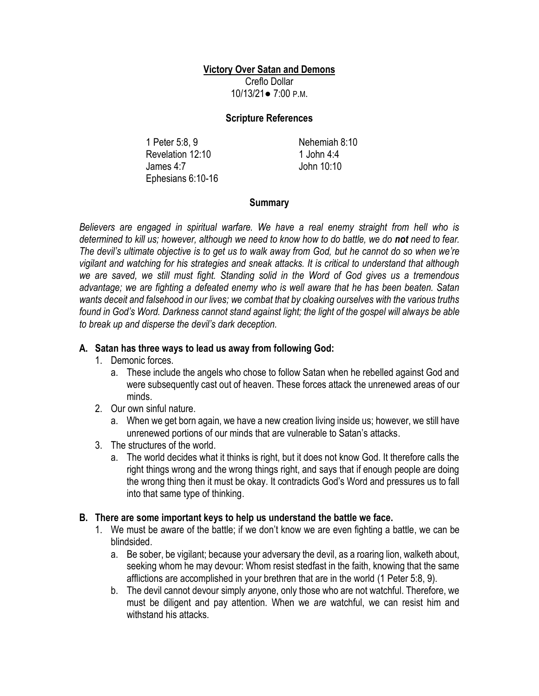## **Victory Over Satan and Demons**

Creflo Dollar 10/13/21● 7:00 P.M.

#### **Scripture References**

1 Peter 5:8, 9 Revelation 12:10 James 4:7 Ephesians 6:10-16 Nehemiah 8:10 1 John 4:4 John 10:10

## **Summary**

*Believers are engaged in spiritual warfare. We have a real enemy straight from hell who is determined to kill us; however, although we need to know how to do battle, we do not need to fear. The devil's ultimate objective is to get us to walk away from God, but he cannot do so when we're vigilant and watching for his strategies and sneak attacks. It is critical to understand that although we are saved, we still must fight. Standing solid in the Word of God gives us a tremendous advantage; we are fighting a defeated enemy who is well aware that he has been beaten. Satan wants deceit and falsehood in our lives; we combat that by cloaking ourselves with the various truths found in God's Word. Darkness cannot stand against light; the light of the gospel will always be able to break up and disperse the devil's dark deception.* 

# **A. Satan has three ways to lead us away from following God:**

- 1. Demonic forces.
	- a. These include the angels who chose to follow Satan when he rebelled against God and were subsequently cast out of heaven. These forces attack the unrenewed areas of our minds.
- 2. Our own sinful nature.
	- a. When we get born again, we have a new creation living inside us; however, we still have unrenewed portions of our minds that are vulnerable to Satan's attacks.
- 3. The structures of the world.
	- a. The world decides what it thinks is right, but it does not know God. It therefore calls the right things wrong and the wrong things right, and says that if enough people are doing the wrong thing then it must be okay. It contradicts God's Word and pressures us to fall into that same type of thinking.

## **B. There are some important keys to help us understand the battle we face.**

- 1. We must be aware of the battle; if we don't know we are even fighting a battle, we can be blindsided.
	- a. Be sober, be vigilant; because your adversary the devil, as a roaring lion, walketh about, seeking whom he may devour: Whom resist stedfast in the faith, knowing that the same afflictions are accomplished in your brethren that are in the world (1 Peter 5:8, 9).
	- b. The devil cannot devour simply *any*one, only those who are not watchful. Therefore, we must be diligent and pay attention. When we *are* watchful, we can resist him and withstand his attacks.